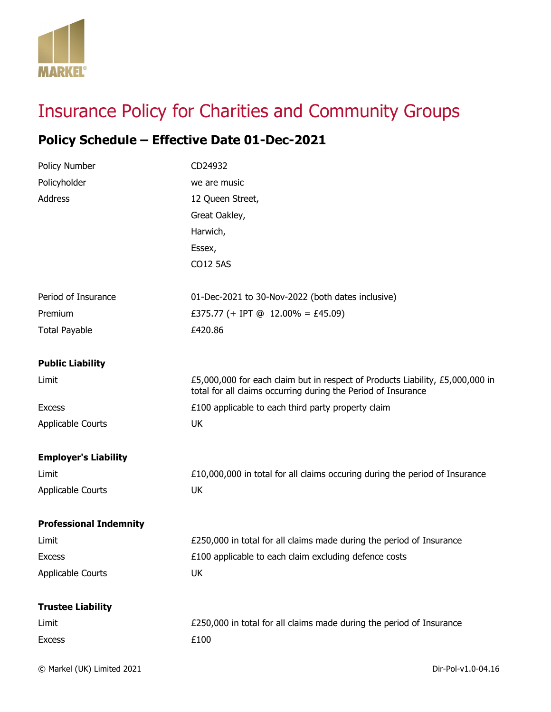

## Insurance Policy for Charities and Community Groups

## **Policy Schedule – Effective Date 01-Dec-2021**

| Policy Number                 | CD24932                                                                                                                                        |
|-------------------------------|------------------------------------------------------------------------------------------------------------------------------------------------|
| Policyholder                  | we are music                                                                                                                                   |
| Address                       | 12 Queen Street,                                                                                                                               |
|                               | Great Oakley,                                                                                                                                  |
|                               | Harwich,                                                                                                                                       |
|                               | Essex,                                                                                                                                         |
|                               | CO12 5AS                                                                                                                                       |
| Period of Insurance           | 01-Dec-2021 to 30-Nov-2022 (both dates inclusive)                                                                                              |
| Premium                       | £375.77 (+ IPT @ 12.00% = £45.09)                                                                                                              |
| <b>Total Payable</b>          | £420.86                                                                                                                                        |
| <b>Public Liability</b>       |                                                                                                                                                |
| Limit                         | £5,000,000 for each claim but in respect of Products Liability, £5,000,000 in<br>total for all claims occurring during the Period of Insurance |
| <b>Excess</b>                 | £100 applicable to each third party property claim                                                                                             |
| <b>Applicable Courts</b>      | UK                                                                                                                                             |
| <b>Employer's Liability</b>   |                                                                                                                                                |
| Limit                         | £10,000,000 in total for all claims occuring during the period of Insurance                                                                    |
| <b>Applicable Courts</b>      | UK                                                                                                                                             |
| <b>Professional Indemnity</b> |                                                                                                                                                |
| Limit                         | £250,000 in total for all claims made during the period of Insurance                                                                           |
| <b>Excess</b>                 | £100 applicable to each claim excluding defence costs                                                                                          |
| <b>Applicable Courts</b>      | UK                                                                                                                                             |
| <b>Trustee Liability</b>      |                                                                                                                                                |
| Limit                         | £250,000 in total for all claims made during the period of Insurance                                                                           |
| <b>Excess</b>                 | £100                                                                                                                                           |